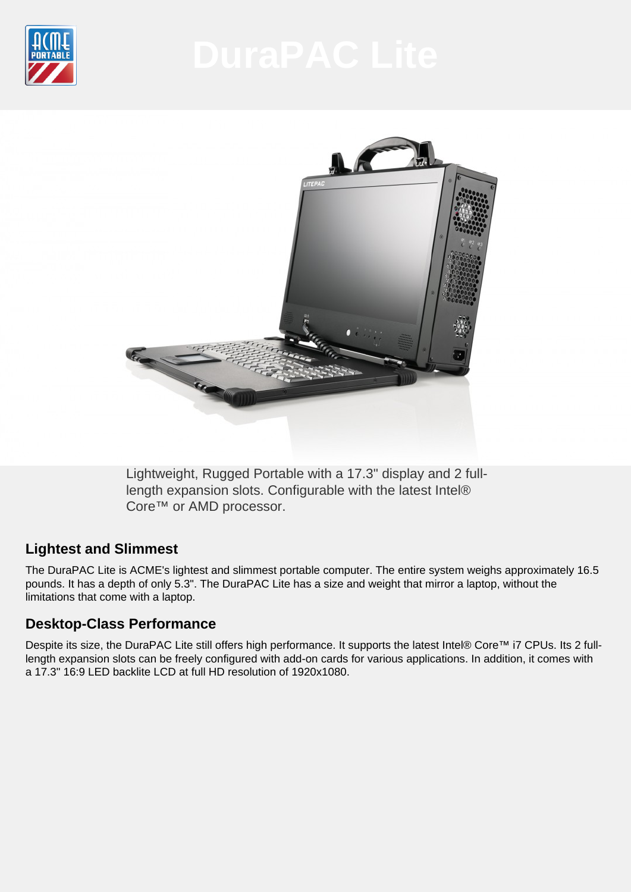



Lightweight, Rugged Portable with a 17.3" display and 2 fulllength expansion slots. Configurable with the latest Intel® Core™ or AMD processor.

# **Lightest and Slimmest**

The DuraPAC Lite is ACME's lightest and slimmest portable computer. The entire system weighs approximately 16.5 pounds. It has a depth of only 5.3". The DuraPAC Lite has a size and weight that mirror a laptop, without the limitations that come with a laptop.

# **Desktop-Class Performance**

Despite its size, the DuraPAC Lite still offers high performance. It supports the latest Intel® Core™ i7 CPUs. Its 2 fulllength expansion slots can be freely configured with add-on cards for various applications. In addition, it comes with a 17.3" 16:9 LED backlite LCD at full HD resolution of 1920x1080.